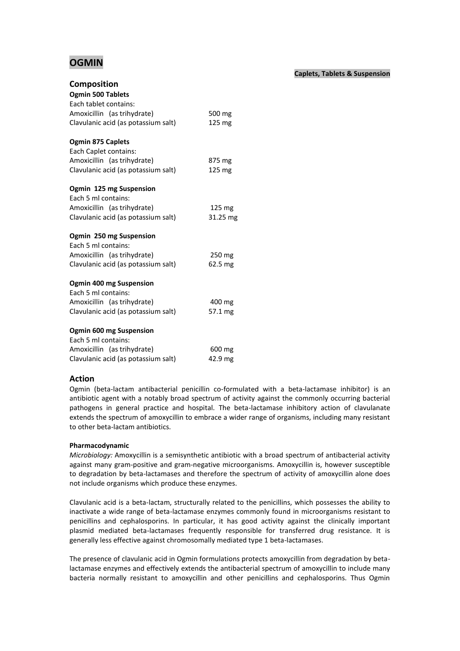# **OGMIN**

#### **Caplets, Tablets & Suspension**

| <b>Composition</b><br><b>Ogmin 500 Tablets</b><br>Each tablet contains: |                  |
|-------------------------------------------------------------------------|------------------|
| Amoxicillin (as trihydrate)                                             | 500 mg           |
| Clavulanic acid (as potassium salt)                                     | $125 \text{ mg}$ |
| <b>Ogmin 875 Caplets</b>                                                |                  |
| Each Caplet contains:                                                   |                  |
| Amoxicillin (as trihydrate)                                             | 875 mg           |
| Clavulanic acid (as potassium salt)                                     | 125 mg           |
| Ogmin 125 mg Suspension                                                 |                  |
| Each 5 ml contains:                                                     |                  |
| Amoxicillin (as trihydrate)                                             | $125 \text{ mg}$ |
| Clavulanic acid (as potassium salt)                                     | 31.25 mg         |
| Ogmin 250 mg Suspension                                                 |                  |
| Each 5 ml contains:                                                     |                  |
| Amoxicillin (as trihydrate)                                             | 250 mg           |
| Clavulanic acid (as potassium salt)                                     | 62.5 mg          |
| Ogmin 400 mg Suspension                                                 |                  |
| Each 5 ml contains:                                                     |                  |
| Amoxicillin (as trihydrate)                                             | 400 mg           |
| Clavulanic acid (as potassium salt)                                     | 57.1 mg          |
| Ogmin 600 mg Suspension                                                 |                  |
| Each 5 ml contains:                                                     |                  |
| Amoxicillin (as trihydrate)                                             | 600 mg           |
| Clavulanic acid (as potassium salt)                                     | 42.9 mg          |

# **Action**

Ogmin (beta-lactam antibacterial penicillin co-formulated with a beta-lactamase inhibitor) is an antibiotic agent with a notably broad spectrum of activity against the commonly occurring bacterial pathogens in general practice and hospital. The beta-lactamase inhibitory action of clavulanate extends the spectrum of amoxycillin to embrace a wider range of organisms, including many resistant to other beta-lactam antibiotics.

## **Pharmacodynamic**

*Microbiology:* Amoxycillin is a semisynthetic antibiotic with a broad spectrum of antibacterial activity against many gram-positive and gram-negative microorganisms. Amoxycillin is, however susceptible to degradation by beta-lactamases and therefore the spectrum of activity of amoxycillin alone does not include organisms which produce these enzymes.

Clavulanic acid is a beta-lactam, structurally related to the penicillins, which possesses the ability to inactivate a wide range of beta-lactamase enzymes commonly found in microorganisms resistant to penicillins and cephalosporins. In particular, it has good activity against the clinically important plasmid mediated beta-lactamases frequently responsible for transferred drug resistance. It is generally less effective against chromosomally mediated type 1 beta-lactamases.

The presence of clavulanic acid in Ogmin formulations protects amoxycillin from degradation by betalactamase enzymes and effectively extends the antibacterial spectrum of amoxycillin to include many bacteria normally resistant to amoxycillin and other penicillins and cephalosporins. Thus Ogmin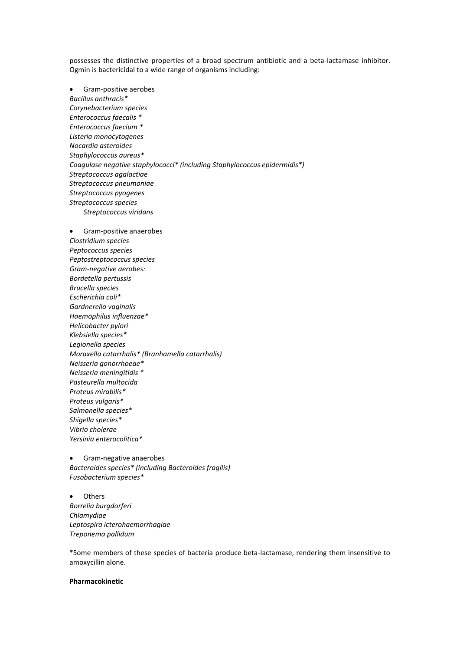possesses the distinctive properties of a broad spectrum antibiotic and a beta-lactamase inhibitor. Ogmin is bactericidal to a wide range of organisms including:

 Gram-positive aerobes *Bacillus anthracis\* Corynebacterium species Enterococcus faecalis \* Enterococcus faecium \* Listeria monocytogenes Nocardia asteroides Staphylococcus aureus\* Coagulase negative staphylococci\* (including Staphylococcus epidermidis\*) Streptococcus agalactiae Streptococcus pneumoniae Streptococcus pyogenes Streptococcus species Streptococcus viridans* 

 Gram-positive anaerobes *Clostridium species Peptococcus species Peptostreptococcus species Gram-negative aerobes: Bordetella pertussis Brucella species Escherichia coli\* Gardnerella vaginalis Haemophilus influenzae\* Helicobacter pylori Klebsiella species\* Legionella species Moraxella catarrhalis\* (Branhamella catarrhalis) Neisseria gonorrhoeae\* Neisseria meningitidis \* Pasteurella multocida Proteus mirabilis\* Proteus vulgaris\* Salmonella species\* Shigella species\* Vibrio cholerae Yersinia enterocolitica\** 

 Gram-negative anaerobes *Bacteroides species\* (including Bacteroides fragilis) Fusobacterium species\** 

 Others *Borrelia burgdorferi Chlamydiae Leptospira icterohaemorrhagiae Treponema pallidum* 

\*Some members of these species of bacteria produce beta-lactamase, rendering them insensitive to amoxycillin alone.

#### **Pharmacokinetic**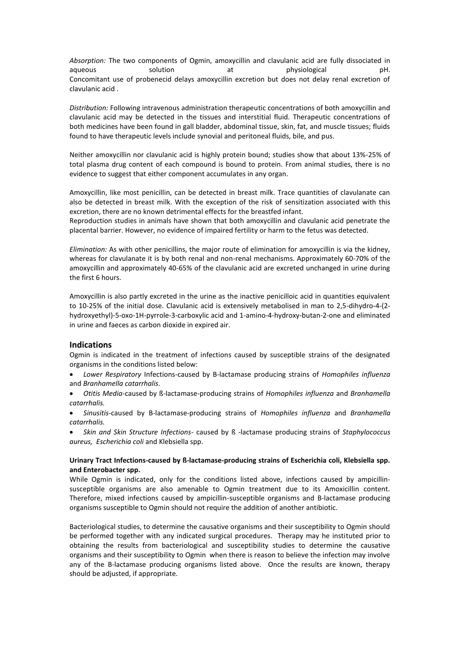*Absorption:* The two components of Ogmin, amoxycillin and clavulanic acid are fully dissociated in aqueous solution at physiological pH. Concomitant use of probenecid delays amoxycillin excretion but does not delay renal excretion of clavulanic acid .

*Distribution:* Following intravenous administration therapeutic concentrations of both amoxycillin and clavulanic acid may be detected in the tissues and interstitial fluid. Therapeutic concentrations of both medicines have been found in gall bladder, abdominal tissue, skin, fat, and muscle tissues; fluids found to have therapeutic levels include synovial and peritoneal fluids, bile, and pus.

Neither amoxycillin nor clavulanic acid is highly protein bound; studies show that about 13%-25% of total plasma drug content of each compound is bound to protein. From animal studies, there is no evidence to suggest that either component accumulates in any organ.

Amoxycillin, like most penicillin, can be detected in breast milk. Trace quantities of clavulanate can also be detected in breast milk. With the exception of the risk of sensitization associated with this excretion, there are no known detrimental effects for the breastfed infant.

Reproduction studies in animals have shown that both amoxycillin and clavulanic acid penetrate the placental barrier. However, no evidence of impaired fertility or harm to the fetus was detected.

*Elimination:* As with other penicillins, the major route of elimination for amoxycillin is via the kidney, whereas for clavulanate it is by both renal and non-renal mechanisms. Approximately 60-70% of the amoxycillin and approximately 40-65% of the clavulanic acid are excreted unchanged in urine during the first 6 hours.

Amoxycillin is also partly excreted in the urine as the inactive penicilloic acid in quantities equivalent to 10-25% of the initial dose. Clavulanic acid is extensively metabolised in man to 2,5-dihydro-4-(2 hydroxyethyl)-5-oxo-1H-pyrrole-3-carboxylic acid and 1-amino-4-hydroxy-butan-2-one and eliminated in urine and faeces as carbon dioxide in expired air.

### **Indications**

Ogmin is indicated in the treatment of infections caused by susceptible strains of the designated organisms in the conditions listed below:

- *Lower Respiratory* Infections-caused by B-lactamase producing strains of *Homophiles influenza*  and *Branhamella catarrhalis*.
- *Otitis Media*-caused by ß-lactamase-producing strains of *Homophiles influenza* and *Branhamella catarrhalis.*

 *Sinusitis-*caused by B-lactamase-producing strains of *Homophiles influenza* and *Branhamella catarrhalis.*

 *Skin and Skin Structure Infections-* caused by ß -lactamase producing strains of *Staphylococcus aureus, Escherichia coli* and Klebsiella spp.

## **Urinary Tract Infections-caused by ß-lactamase-producing strains of Escherichia coli, Klebsiella spp. and Enterobacter spp.**

While Ogmin is indicated, only for the conditions listed above, infections caused by ampicillinsusceptible organisms are also amenable to Ogmin treatment due to its Amoxicillin content. Therefore, mixed infections caused by ampicillin-susceptible organisms and B-lactamase producing organisms susceptible to Ogmin should not require the addition of another antibiotic.

Bacteriological studies, to determine the causative organisms and their susceptibility to Ogmin should be performed together with any indicated surgical procedures. Therapy may he instituted prior to obtaining the results from bacteriological and susceptibility studies to determine the causative organisms and their susceptibility to Ogmin when there is reason to believe the infection may involve any of the B-lactamase producing organisms listed above. Once the results are known, therapy should be adjusted, if appropriate.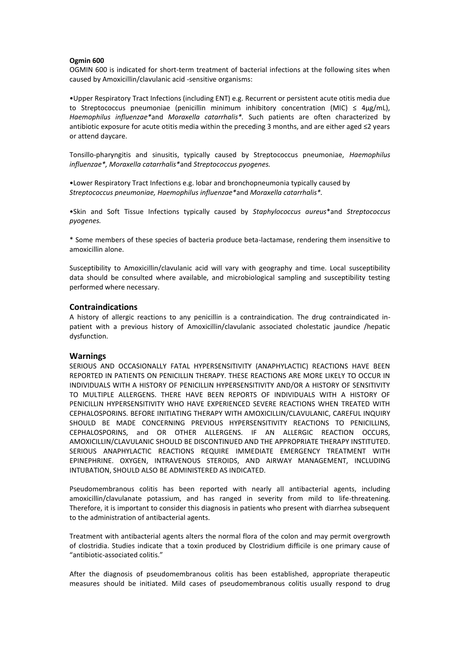#### **Ogmin 600**

OGMIN 600 is indicated for short-term treatment of bacterial infections at the following sites when caused by Amoxicillin/clavulanic acid -sensitive organisms:

•Upper Respiratory Tract Infections (including ENT) e.g. Recurrent or persistent acute otitis media due to Streptococcus pneumoniae (penicillin minimum inhibitory concentration (MIC)  $\leq$  4µg/mL), *Haemophilus influenzae\**and *Moraxella catarrhalis\*.* Such patients are often characterized by antibiotic exposure for acute otitis media within the preceding 3 months, and are either aged ≤2 years or attend daycare.

Tonsillo-pharyngitis and sinusitis, typically caused by Streptococcus pneumoniae, *Haemophilus influenzae\*, Moraxella catarrhalis\**and *Streptococcus pyogenes.*

•Lower Respiratory Tract Infections e.g. lobar and bronchopneumonia typically caused by *Streptococcus pneumoniae, Haemophilus influenzae\**and *Moraxella catarrhalis\*.*

•Skin and Soft Tissue Infections typically caused by *Staphylococcus aureus*\*and *Streptococcus pyogenes.*

\* Some members of these species of bacteria produce beta-lactamase, rendering them insensitive to amoxicillin alone.

Susceptibility to Amoxicillin/clavulanic acid will vary with geography and time. Local susceptibility data should be consulted where available, and microbiological sampling and susceptibility testing performed where necessary.

### **Contraindications**

A history of allergic reactions to any penicillin is a contraindication. The drug contraindicated inpatient with a previous history of Amoxicillin/clavulanic associated cholestatic jaundice /hepatic dysfunction.

### **Warnings**

SERIOUS AND OCCASIONALLY FATAL HYPERSENSITIVITY (ANAPHYLACTIC) REACTIONS HAVE BEEN REPORTED IN PATIENTS ON PENICILLIN THERAPY. THESE REACTIONS ARE MORE LIKELY TO OCCUR IN INDIVIDUALS WITH A HISTORY OF PENICILLIN HYPERSENSITIVITY AND/OR A HISTORY OF SENSITIVITY TO MULTIPLE ALLERGENS. THERE HAVE BEEN REPORTS OF INDIVIDUALS WITH A HISTORY OF PENICILLIN HYPERSENSITIVITY WHO HAVE EXPERIENCED SEVERE REACTIONS WHEN TREATED WITH CEPHALOSPORINS. BEFORE INITIATING THERAPY WITH AMOXICILLIN/CLAVULANIC, CAREFUL INQUIRY SHOULD BE MADE CONCERNING PREVIOUS HYPERSENSITIVITY REACTIONS TO PENICILLINS, CEPHALOSPORINS, and OR OTHER ALLERGENS. IF AN ALLERGIC REACTION OCCURS, AMOXICILLIN/CLAVULANIC SHOULD BE DISCONTINUED AND THE APPROPRIATE THERAPY INSTITUTED. SERIOUS ANAPHYLACTIC REACTIONS REQUIRE IMMEDIATE EMERGENCY TREATMENT WITH EPINEPHRINE. OXYGEN, INTRAVENOUS STEROIDS, AND AIRWAY MANAGEMENT, INCLUDING INTUBATION, SHOULD ALSO BE ADMINISTERED AS INDICATED.

Pseudomembranous colitis has been reported with nearly all antibacterial agents, including amoxicillin/clavulanate potassium, and has ranged in severity from mild to life-threatening. Therefore, it is important to consider this diagnosis in patients who present with diarrhea subsequent to the administration of antibacterial agents.

Treatment with antibacterial agents alters the normal flora of the colon and may permit overgrowth of clostridia. Studies indicate that a toxin produced by Clostridium difficile is one primary cause of "antibiotic-associated colitis."

After the diagnosis of pseudomembranous colitis has been established, appropriate therapeutic measures should be initiated. Mild cases of pseudomembranous colitis usually respond to drug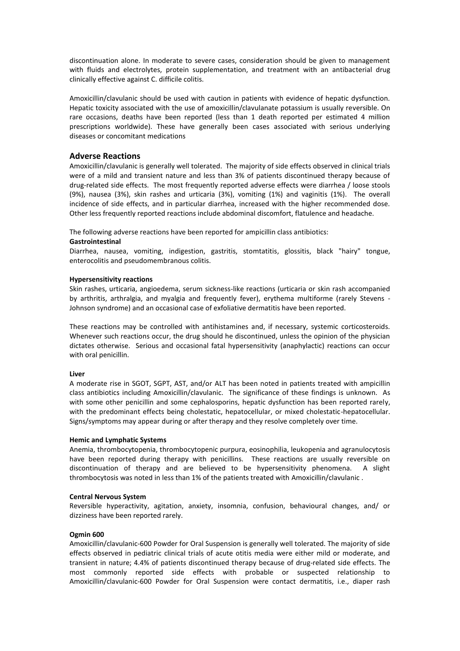discontinuation alone. In moderate to severe cases, consideration should be given to management with fluids and electrolytes, protein supplementation, and treatment with an antibacterial drug clinically effective against C. difficile colitis.

Amoxicillin/clavulanic should be used with caution in patients with evidence of hepatic dysfunction. Hepatic toxicity associated with the use of amoxicillin/clavulanate potassium is usually reversible. On rare occasions, deaths have been reported (less than 1 death reported per estimated 4 million prescriptions worldwide). These have generally been cases associated with serious underlying diseases or concomitant medications

# **Adverse Reactions**

Amoxicillin/clavulanic is generally well tolerated. The majority of side effects observed in clinical trials were of a mild and transient nature and less than 3% of patients discontinued therapy because of drug-related side effects. The most frequently reported adverse effects were diarrhea / loose stools (9%), nausea (3%), skin rashes and urticaria (3%), vomiting (1%) and vaginitis (1%). The overall incidence of side effects, and in particular diarrhea, increased with the higher recommended dose. Other less frequently reported reactions include abdominal discomfort, flatulence and headache.

The following adverse reactions have been reported for ampicillin class antibiotics:

#### **Gastrointestinal**

Diarrhea, nausea, vomiting, indigestion, gastritis, stomtatitis, glossitis, black "hairy" tongue, enterocolitis and pseudomembranous colitis.

#### **Hypersensitivity reactions**

Skin rashes, urticaria, angioedema, serum sickness-like reactions (urticaria or skin rash accompanied by arthritis, arthralgia, and myalgia and frequently fever), erythema multiforme (rarely Stevens - Johnson syndrome) and an occasional case of exfoliative dermatitis have been reported.

These reactions may be controlled with antihistamines and, if necessary, systemic corticosteroids. Whenever such reactions occur, the drug should he discontinued, unless the opinion of the physician dictates otherwise. Serious and occasional fatal hypersensitivity (anaphylactic) reactions can occur with oral penicillin.

#### **Liver**

A moderate rise in SGOT, SGPT, AST, and/or ALT has been noted in patients treated with ampicillin class antibiotics including Amoxicillin/clavulanic. The significance of these findings is unknown. As with some other penicillin and some cephalosporins, hepatic dysfunction has been reported rarely, with the predominant effects being cholestatic, hepatocellular, or mixed cholestatic-hepatocellular. Signs/symptoms may appear during or after therapy and they resolve completely over time.

#### **Hemic and Lymphatic Systems**

Anemia, thrombocytopenia, thrombocytopenic purpura, eosinophilia, leukopenia and agranulocytosis have been reported during therapy with penicillins. These reactions are usually reversible on discontinuation of therapy and are believed to be hypersensitivity phenomena. A slight thrombocytosis was noted in less than 1% of the patients treated with Amoxicillin/clavulanic .

### **Central Nervous System**

Reversible hyperactivity, agitation, anxiety, insomnia, confusion, behavioural changes, and/ or dizziness have been reported rarely.

### **Ogmin 600**

Amoxicillin/clavulanic-600 Powder for Oral Suspension is generally well tolerated. The majority of side effects observed in pediatric clinical trials of acute otitis media were either mild or moderate, and transient in nature; 4.4% of patients discontinued therapy because of drug-related side effects. The most commonly reported side effects with probable or suspected relationship to Amoxicillin/clavulanic-600 Powder for Oral Suspension were contact dermatitis, i.e., diaper rash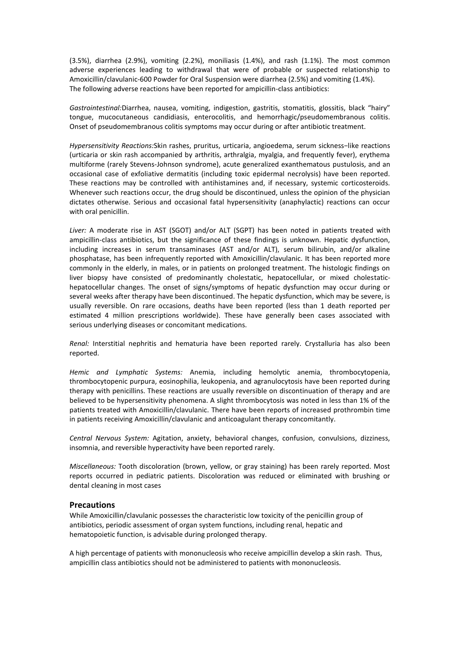(3.5%), diarrhea (2.9%), vomiting (2.2%), moniliasis (1.4%), and rash (1.1%). The most common adverse experiences leading to withdrawal that were of probable or suspected relationship to Amoxicillin/clavulanic-600 Powder for Oral Suspension were diarrhea (2.5%) and vomiting (1.4%). The following adverse reactions have been reported for ampicillin-class antibiotics:

*Gastrointestinal:*Diarrhea, nausea, vomiting, indigestion, gastritis, stomatitis, glossitis, black "hairy" tongue, mucocutaneous candidiasis, enterocolitis, and hemorrhagic/pseudomembranous colitis. Onset of pseudomembranous colitis symptoms may occur during or after antibiotic treatment.

*Hypersensitivity Reactions:*Skin rashes, pruritus, urticaria, angioedema, serum sickness−like reactions (urticaria or skin rash accompanied by arthritis, arthralgia, myalgia, and frequently fever), erythema multiforme (rarely Stevens-Johnson syndrome), acute generalized exanthematous pustulosis, and an occasional case of exfoliative dermatitis (including toxic epidermal necrolysis) have been reported. These reactions may be controlled with antihistamines and, if necessary, systemic corticosteroids. Whenever such reactions occur, the drug should be discontinued, unless the opinion of the physician dictates otherwise. Serious and occasional fatal hypersensitivity (anaphylactic) reactions can occur with oral penicillin.

*Liver:* A moderate rise in AST (SGOT) and/or ALT (SGPT) has been noted in patients treated with ampicillin-class antibiotics, but the significance of these findings is unknown. Hepatic dysfunction, including increases in serum transaminases (AST and/or ALT), serum bilirubin, and/or alkaline phosphatase, has been infrequently reported with Amoxicillin/clavulanic. It has been reported more commonly in the elderly, in males, or in patients on prolonged treatment. The histologic findings on liver biopsy have consisted of predominantly cholestatic, hepatocellular, or mixed cholestatichepatocellular changes. The onset of signs/symptoms of hepatic dysfunction may occur during or several weeks after therapy have been discontinued. The hepatic dysfunction, which may be severe, is usually reversible. On rare occasions, deaths have been reported (less than 1 death reported per estimated 4 million prescriptions worldwide). These have generally been cases associated with serious underlying diseases or concomitant medications.

*Renal:* Interstitial nephritis and hematuria have been reported rarely. Crystalluria has also been reported.

*Hemic and Lymphatic Systems:* Anemia, including hemolytic anemia, thrombocytopenia, thrombocytopenic purpura, eosinophilia, leukopenia, and agranulocytosis have been reported during therapy with penicillins. These reactions are usually reversible on discontinuation of therapy and are believed to be hypersensitivity phenomena. A slight thrombocytosis was noted in less than 1% of the patients treated with Amoxicillin/clavulanic. There have been reports of increased prothrombin time in patients receiving Amoxicillin/clavulanic and anticoagulant therapy concomitantly.

*Central Nervous System:* Agitation, anxiety, behavioral changes, confusion, convulsions, dizziness, insomnia, and reversible hyperactivity have been reported rarely.

*Miscellaneous:* Tooth discoloration (brown, yellow, or gray staining) has been rarely reported. Most reports occurred in pediatric patients. Discoloration was reduced or eliminated with brushing or dental cleaning in most cases

### **Precautions**

While Amoxicillin/clavulanic possesses the characteristic low toxicity of the penicillin group of antibiotics, periodic assessment of organ system functions, including renal, hepatic and hematopoietic function, is advisable during prolonged therapy.

A high percentage of patients with mononucleosis who receive ampicillin develop a skin rash. Thus, ampicillin class antibiotics should not be administered to patients with mononucleosis.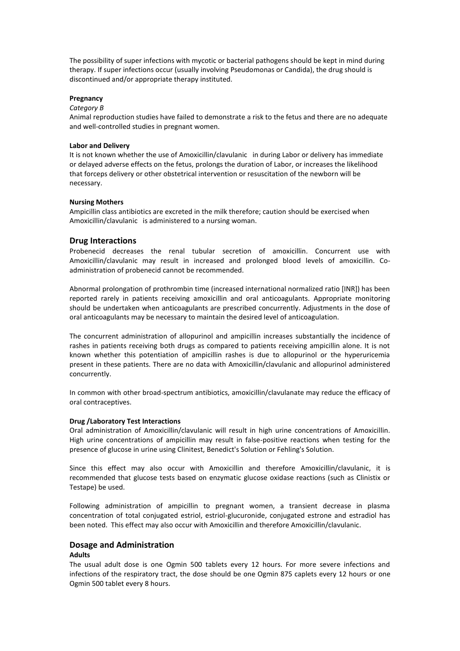The possibility of super infections with mycotic or bacterial pathogens should be kept in mind during therapy. If super infections occur (usually involving Pseudomonas or Candida), the drug should is discontinued and/or appropriate therapy instituted.

#### **Pregnancy**

#### *Category B*

Animal reproduction studies have failed to demonstrate a risk to the fetus and there are no adequate and well-controlled studies in pregnant women.

#### **Labor and Delivery**

It is not known whether the use of Amoxicillin/clavulanic in during Labor or delivery has immediate or delayed adverse effects on the fetus, prolongs the duration of Labor, or increases the likelihood that forceps delivery or other obstetrical intervention or resuscitation of the newborn will be necessary.

#### **Nursing Mothers**

Ampicillin class antibiotics are excreted in the milk therefore; caution should be exercised when Amoxicillin/clavulanic is administered to a nursing woman.

# **Drug Interactions**

Probenecid decreases the renal tubular secretion of amoxicillin. Concurrent use with Amoxicillin/clavulanic may result in increased and prolonged blood levels of amoxicillin. Coadministration of probenecid cannot be recommended.

Abnormal prolongation of prothrombin time (increased international normalized ratio [INR]) has been reported rarely in patients receiving amoxicillin and oral anticoagulants. Appropriate monitoring should be undertaken when anticoagulants are prescribed concurrently. Adjustments in the dose of oral anticoagulants may be necessary to maintain the desired level of anticoagulation.

The concurrent administration of allopurinol and ampicillin increases substantially the incidence of rashes in patients receiving both drugs as compared to patients receiving ampicillin alone. It is not known whether this potentiation of ampicillin rashes is due to allopurinol or the hyperuricemia present in these patients. There are no data with Amoxicillin/clavulanic and allopurinol administered concurrently.

In common with other broad-spectrum antibiotics, amoxicillin/clavulanate may reduce the efficacy of oral contraceptives.

#### **Drug /Laboratory Test Interactions**

Oral administration of Amoxicillin/clavulanic will result in high urine concentrations of Amoxicillin. High urine concentrations of ampicillin may result in false-positive reactions when testing for the presence of glucose in urine using Clinitest, Benedict's Solution or Fehling's Solution.

Since this effect may also occur with Amoxicillin and therefore Amoxicillin/clavulanic, it is recommended that glucose tests based on enzymatic glucose oxidase reactions (such as Clinistix or Testape) be used.

Following administration of ampicillin to pregnant women, a transient decrease in plasma concentration of total conjugated estriol, estriol-glucuronide, conjugated estrone and estradiol has been noted. This effect may also occur with Amoxicillin and therefore Amoxicillin/clavulanic.

# **Dosage and Administration**

### **Adults**

The usual adult dose is one Ogmin 500 tablets every 12 hours. For more severe infections and infections of the respiratory tract, the dose should be one Ogmin 875 caplets every 12 hours or one Ogmin 500 tablet every 8 hours.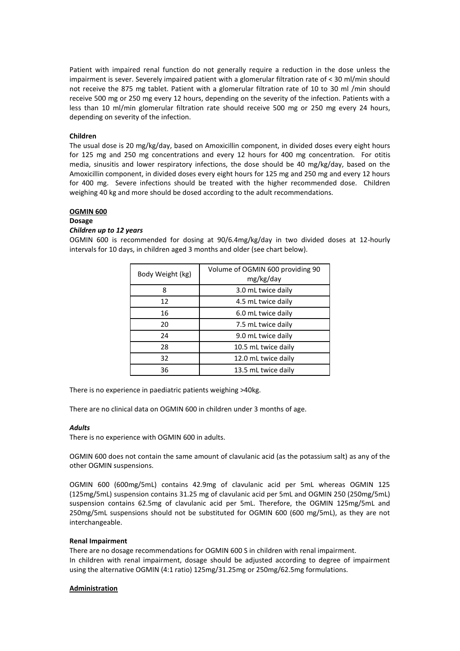Patient with impaired renal function do not generally require a reduction in the dose unless the impairment is sever. Severely impaired patient with a glomerular filtration rate of < 30 ml/min should not receive the 875 mg tablet. Patient with a glomerular filtration rate of 10 to 30 ml /min should receive 500 mg or 250 mg every 12 hours, depending on the severity of the infection. Patients with a less than 10 ml/min glomerular filtration rate should receive 500 mg or 250 mg every 24 hours, depending on severity of the infection.

#### **Children**

The usual dose is 20 mg/kg/day, based on Amoxicillin component, in divided doses every eight hours for 125 mg and 250 mg concentrations and every 12 hours for 400 mg concentration. For otitis media, sinusitis and lower respiratory infections, the dose should be 40 mg/kg/day, based on the Amoxicillin component, in divided doses every eight hours for 125 mg and 250 mg and every 12 hours for 400 mg. Severe infections should be treated with the higher recommended dose. Children weighing 40 kg and more should be dosed according to the adult recommendations.

#### **OGMIN 600**

#### **Dosage**

#### *Children up to 12 years*

OGMIN 600 is recommended for dosing at 90/6.4mg/kg/day in two divided doses at 12-hourly intervals for 10 days, in children aged 3 months and older (see chart below).

| Body Weight (kg) | Volume of OGMIN 600 providing 90<br>mg/kg/day |
|------------------|-----------------------------------------------|
| 8                | 3.0 mL twice daily                            |
| 12               | 4.5 mL twice daily                            |
| 16               | 6.0 mL twice daily                            |
| 20               | 7.5 mL twice daily                            |
| 24               | 9.0 mL twice daily                            |
| 28               | 10.5 mL twice daily                           |
| 32               | 12.0 mL twice daily                           |
| 36               | 13.5 mL twice daily                           |

There is no experience in paediatric patients weighing >40kg.

There are no clinical data on OGMIN 600 in children under 3 months of age.

#### *Adults*

There is no experience with OGMIN 600 in adults.

OGMIN 600 does not contain the same amount of clavulanic acid (as the potassium salt) as any of the other OGMIN suspensions.

OGMIN 600 (600mg/5mL) contains 42.9mg of clavulanic acid per 5mL whereas OGMIN 125 (125mg/5mL) suspension contains 31.25 mg of clavulanic acid per 5mL and OGMIN 250 (250mg/5mL) suspension contains 62.5mg of clavulanic acid per 5mL. Therefore, the OGMIN 125mg/5mL and 250mg/5mL suspensions should not be substituted for OGMIN 600 (600 mg/5mL), as they are not interchangeable.

#### **Renal Impairment**

There are no dosage recommendations for OGMIN 600 S in children with renal impairment. In children with renal impairment, dosage should be adjusted according to degree of impairment using the alternative OGMIN (4:1 ratio) 125mg/31.25mg or 250mg/62.5mg formulations.

#### **Administration**